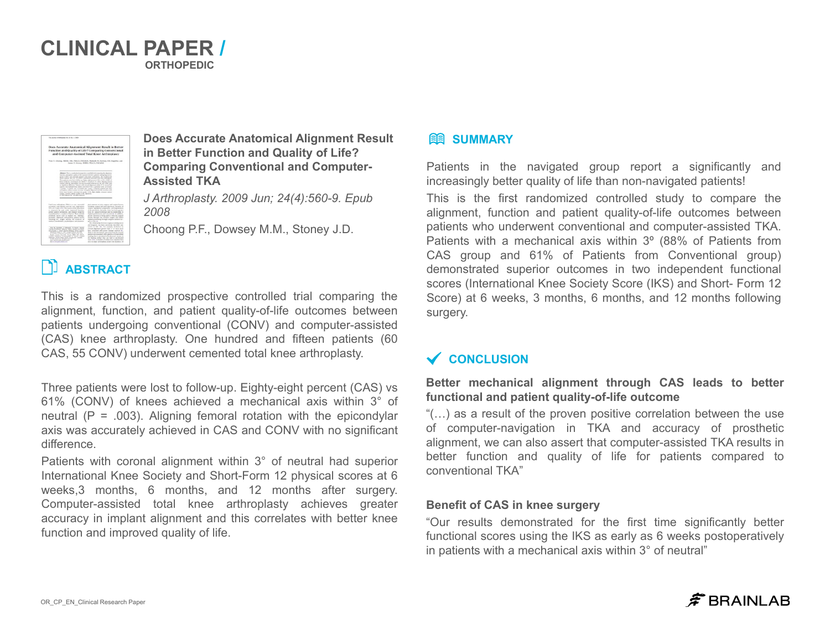### **CLINICAL PAPER / ORTHOPEDIC**



**Does Accurate Anatomical Alignment Result in Better Function and Quality of Life? Comparing Conventional and Computer-Assisted TKA**

*J Arthroplasty. 2009 Jun; 24(4):560-9. Epub 2008*

Choong P.F., Dowsey M.M., Stoney J.D.

#### **Better mechanical alignment through CAS leads to better functional and patient quality-of-life outcome**

"(…) as a result of the proven positive correlation between the use of computer-navigation in TKA and accuracy of prosthetic alignment, we can also assert that computer-assisted TKA results in better function and quality of life for patients compared to conventional TKA"

#### **Benefit of CAS in knee surgery**

"Our results demonstrated for the first time significantly better functional scores using the IKS as early as 6 weeks postoperatively in patients with a mechanical axis within 3° of neutral"

## $\hat{\mathcal{F}}$  BRAINLAB

Patients in the navigated group report a significantly and increasingly better quality of life than non-navigated patients! This is the first randomized controlled study to compare the alignment, function and patient quality-of-life outcomes between patients who underwent conventional and computer-assisted TKA. Patients with a mechanical axis within 3º (88% of Patients from CAS group and 61% of Patients from Conventional group) demonstrated superior outcomes in two independent functional scores (International Knee Society Score (IKS) and Short- Form 12 Score) at 6 weeks, 3 months, 6 months, and 12 months following surgery.

This is a randomized prospective controlled trial comparing the alignment, function, and patient quality-of-life outcomes between patients undergoing conventional (CONV) and computer-assisted (CAS) knee arthroplasty. One hundred and fifteen patients (60 CAS, 55 CONV) underwent cemented total knee arthroplasty.

Three patients were lost to follow-up. Eighty-eight percent (CAS) vs 61% (CONV) of knees achieved a mechanical axis within 3° of neutral  $(P = .003)$ . Aligning femoral rotation with the epicondylar axis was accurately achieved in CAS and CONV with no significant difference.

Patients with coronal alignment within 3° of neutral had superior International Knee Society and Short-Form 12 physical scores at 6 weeks,3 months, 6 months, and 12 months after surgery. Computer-assisted total knee arthroplasty achieves greater accuracy in implant alignment and this correlates with better knee function and improved quality of life.

### **BE SUMMARY**

# **ABSTRACT**

### **CONCLUSION**